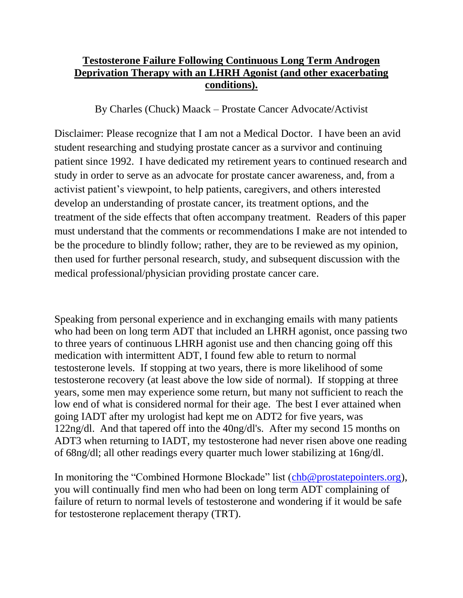## **Testosterone Failure Following Continuous Long Term Androgen Deprivation Therapy with an LHRH Agonist (and other exacerbating conditions).**

By Charles (Chuck) Maack – Prostate Cancer Advocate/Activist

Disclaimer: Please recognize that I am not a Medical Doctor. I have been an avid student researching and studying prostate cancer as a survivor and continuing patient since 1992. I have dedicated my retirement years to continued research and study in order to serve as an advocate for prostate cancer awareness, and, from a activist patient's viewpoint, to help patients, caregivers, and others interested develop an understanding of prostate cancer, its treatment options, and the treatment of the side effects that often accompany treatment. Readers of this paper must understand that the comments or recommendations I make are not intended to be the procedure to blindly follow; rather, they are to be reviewed as my opinion, then used for further personal research, study, and subsequent discussion with the medical professional/physician providing prostate cancer care.

Speaking from personal experience and in exchanging emails with many patients who had been on long term ADT that included an LHRH agonist, once passing two to three years of continuous LHRH agonist use and then chancing going off this medication with intermittent ADT, I found few able to return to normal testosterone levels. If stopping at two years, there is more likelihood of some testosterone recovery (at least above the low side of normal). If stopping at three years, some men may experience some return, but many not sufficient to reach the low end of what is considered normal for their age. The best I ever attained when going IADT after my urologist had kept me on ADT2 for five years, was 122ng/dl. And that tapered off into the 40ng/dl's. After my second 15 months on ADT3 when returning to IADT, my testosterone had never risen above one reading of 68ng/dl; all other readings every quarter much lower stabilizing at 16ng/dl.

In monitoring the "Combined Hormone Blockade" list [\(chb@prostatepointers.org\)](mailto:chb@prostatepointers.org), you will continually find men who had been on long term ADT complaining of failure of return to normal levels of testosterone and wondering if it would be safe for testosterone replacement therapy (TRT).